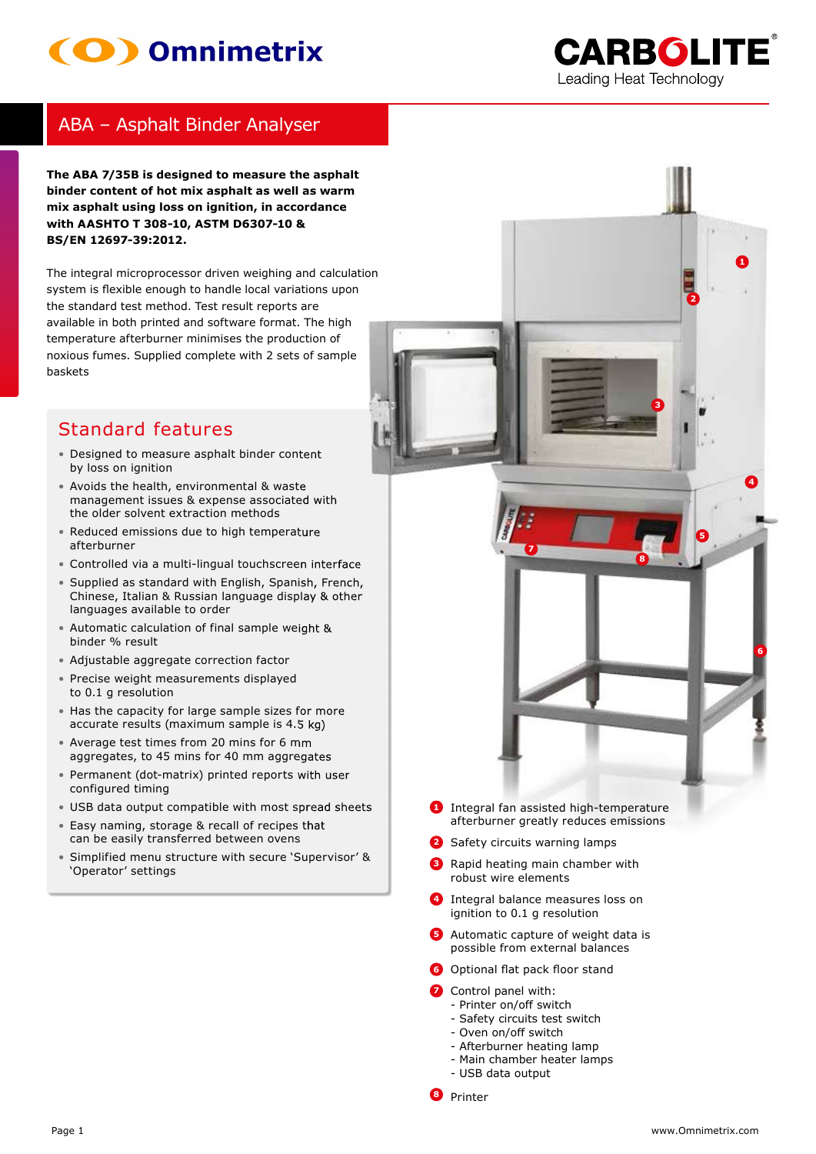# (O) Omnimetrix



0

## ABA – Asphalt Binder Analyser

The ABA 7/35B is designed to measure the asphalt **binder content of hot mix asphalt as well as warm** mix asphalt using loss on ignition, in accordance **with AASHTO T 308-10, ASTM D6307-10 & B S / E N 1 2 6 9 7 - 3 9 : 2 0 1 2 .**

The integral microprocessor driven weighing and calculation system is flexible enough to handle local variations upon the standard test method. Test result reports are available in both printed and software format. The high temperature afterburner minimises the production of noxious fumes. Supplied complete with 2 sets of sample bask ets

## Standard features

- Designed to measure asphalt binder content by loss on ignition
- Avoids the health, environmental & waste management issues & expense associated with the older solvent extraction methods
- Reduced emissions due to high temperature afterburner
- Controlled via a multi-lingual touchscreen interface
- Supplied as standard with English, Spanish, French, Chinese, Italian & Russian language display & other languages available to order
- Automatic calculation of final sample weight & binder % result
- Adjustable aggregate correction factor
- Precise weight measurements displayed to 0.1 g resolution
- Has the capacity for large sample sizes for more accurate results (maximum sample is 4.5 kg)
- Average test times from 20 mins for 6 mm aggregates, to 45 mins for 40 mm aggregates
- Permanent (dot-matrix) printed reports with user configured timing
- USB data output compatible with most spread sheets
- Easy naming, storage & recall of recipes that can be easily transferred between ovens
- Simplified menu structure with secure 'Supervisor' & ' Operator' settings



- **1** Integral fan assisted high-temperature afterburner greatly reduces emissions
- **2** Safety circuits warning lamps

**7**

- **3** Rapid heating main chamber with robust wire elements
- **4** Integral balance measures loss on ignition to 0.1 g resolution
- Automatic capture of weight data is possible from external balances
- **6** Optional flat pack floor stand
- **7** Control panel with:
- Printer on/off switch
- Safety circuits test switch
- Oven on/off switch
- Afterburner heating lamp
- Main chamber heater lamps
- USB data output
- **<sup>8</sup>** Printer